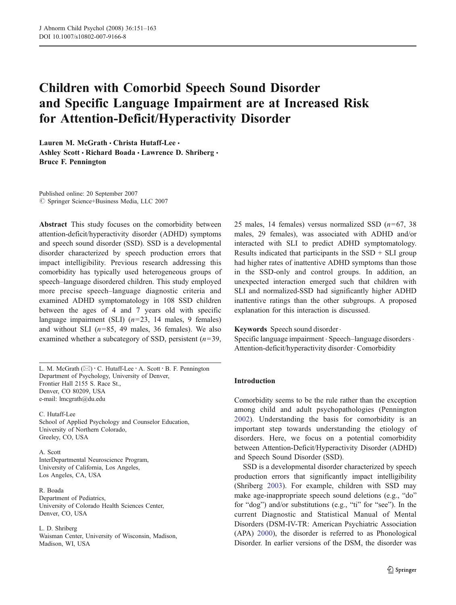# Children with Comorbid Speech Sound Disorder and Specific Language Impairment are at Increased Risk for Attention-Deficit/Hyperactivity Disorder

Lauren M. McGrath · Christa Hutaff-Lee · Ashley Scott • Richard Boada • Lawrence D. Shriberg • Bruce F. Pennington

Published online: 20 September 2007  $\oslash$  Springer Science+Business Media, LLC 2007

Abstract This study focuses on the comorbidity between attention-deficit/hyperactivity disorder (ADHD) symptoms and speech sound disorder (SSD). SSD is a developmental disorder characterized by speech production errors that impact intelligibility. Previous research addressing this comorbidity has typically used heterogeneous groups of speech–language disordered children. This study employed more precise speech–language diagnostic criteria and examined ADHD symptomatology in 108 SSD children between the ages of 4 and 7 years old with specific language impairment (SLI)  $(n=23, 14 \text{ males}, 9 \text{ females})$ and without SLI  $(n=85, 49 \text{ males}, 36 \text{ females})$ . We also examined whether a subcategory of SSD, persistent  $(n=39,$ 

L. M. McGrath (*\**) : C. Hutaff-Lee : A. Scott : B. F. Pennington Department of Psychology, University of Denver, Frontier Hall 2155 S. Race St., Denver, CO 80209, USA e-mail: lmcgrath@du.edu

C. Hutaff-Lee School of Applied Psychology and Counselor Education, University of Northern Colorado, Greeley, CO, USA

A. Scott InterDepartmental Neuroscience Program, University of California, Los Angeles, Los Angeles, CA, USA

R. Boada Department of Pediatrics, University of Colorado Health Sciences Center, Denver, CO, USA

L. D. Shriberg Waisman Center, University of Wisconsin, Madison, Madison, WI, USA

25 males, 14 females) versus normalized SSD  $(n=67, 38)$ males, 29 females), was associated with ADHD and/or interacted with SLI to predict ADHD symptomatology. Results indicated that participants in the  $SSD + SLI$  group had higher rates of inattentive ADHD symptoms than those in the SSD-only and control groups. In addition, an unexpected interaction emerged such that children with SLI and normalized-SSD had significantly higher ADHD inattentive ratings than the other subgroups. A proposed explanation for this interaction is discussed.

Keywords Speech sound disorder.

Specific language impairment . Speech–language disorders. Attention-deficit/hyperactivity disorder. Comorbidity

# Introduction

Comorbidity seems to be the rule rather than the exception among child and adult psychopathologies (Pennington [2002](#page-11-0)). Understanding the basis for comorbidity is an important step towards understanding the etiology of disorders. Here, we focus on a potential comorbidity between Attention-Deficit/Hyperactivity Disorder (ADHD) and Speech Sound Disorder (SSD).

SSD is a developmental disorder characterized by speech production errors that significantly impact intelligibility (Shriberg [2003](#page-11-0)). For example, children with SSD may make age-inappropriate speech sound deletions (e.g., "do" for "dog") and/or substitutions (e.g., "ti" for "see"). In the current Diagnostic and Statistical Manual of Mental Disorders (DSM-IV-TR: American Psychiatric Association (APA) [2000](#page-10-0)), the disorder is referred to as Phonological Disorder. In earlier versions of the DSM, the disorder was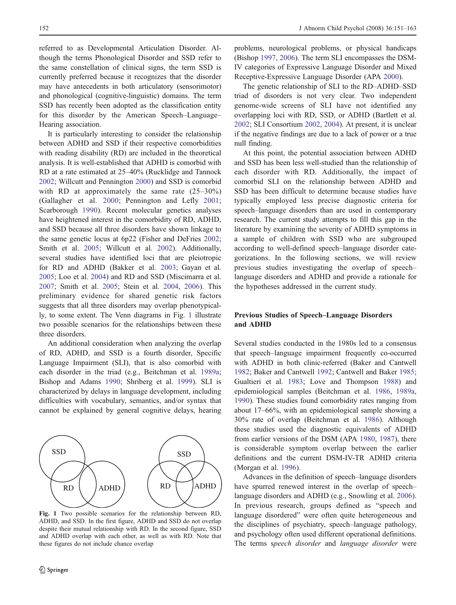<span id="page-1-0"></span>referred to as Developmental Articulation Disorder. Although the terms Phonological Disorder and SSD refer to the same constellation of clinical signs, the term SSD is currently preferred because it recognizes that the disorder may have antecedents in both articulatory (sensorimotor) and phonological (cognitive-linguistic) domains. The term SSD has recently been adopted as the classification entity for this disorder by the American Speech–Language– Hearing association.

It is particularly interesting to consider the relationship between ADHD and SSD if their respective comorbidities with reading disability (RD) are included in the theoretical analysis. It is well-established that ADHD is comorbid with RD at a rate estimated at 25–40% (Rucklidge and Tannock [2002](#page-11-0); Willcutt and Pennington [2000](#page-12-0)) and SSD is comorbid with RD at approximately the same rate  $(25-30\%)$ (Gallagher et al. [2000](#page-11-0); Pennington and Lefly [2001](#page-11-0); Scarborough [1990](#page-11-0)). Recent molecular genetics analyses have heightened interest in the comorbidity of RD, ADHD, and SSD because all three disorders have shown linkage to the same genetic locus at 6p22 (Fisher and DeFries [2002](#page-11-0); Smith et al. [2005;](#page-12-0) Willcutt et al. [2002](#page-12-0)). Additionally, several studies have identified loci that are pleiotropic for RD and ADHD (Bakker et al. [2003](#page-10-0); Gayan et al. [2005](#page-11-0); Loo et al. [2004\)](#page-11-0) and RD and SSD (Miscimarra et al. [2007](#page-11-0); Smith et al. [2005;](#page-12-0) Stein et al. [2004](#page-12-0), [2006\)](#page-12-0). This preliminary evidence for shared genetic risk factors suggests that all three disorders may overlap phenotypically, to some extent. The Venn diagrams in Fig. 1 illustrate two possible scenarios for the relationships between these three disorders.

An additional consideration when analyzing the overlap of RD, ADHD, and SSD is a fourth disorder, Specific Language Impairment (SLI), that is also comorbid with each disorder in the triad (e.g., Beitchman et al. [1989a](#page-10-0); Bishop and Adams [1990](#page-11-0); Shriberg et al. [1999\)](#page-12-0). SLI is characterized by delays in language development, including difficulties with vocabulary, semantics, and/or syntax that cannot be explained by general cognitive delays, hearing



Fig. 1 Two possible scenarios for the relationship between RD, ADHD, and SSD. In the first figure, ADHD and SSD do not overlap despite their mutual relationship with RD. In the second figure, SSD and ADHD overlap with each other, as well as with RD. Note that these figures do not include chance overlap

problems, neurological problems, or physical handicaps (Bishop [1997](#page-11-0), [2006](#page-11-0)). The term SLI encompasses the DSM-IV categories of Expressive Language Disorder and Mixed Receptive-Expressive Language Disorder (APA [2000](#page-10-0)).

The genetic relationship of SLI to the RD–ADHD–SSD triad of disorders is not very clear. Two independent genome-wide screens of SLI have not identified any overlapping loci with RD, SSD, or ADHD (Bartlett et al. [2002](#page-10-0); SLI Consortium [2002](#page-12-0), [2004](#page-12-0)). At present, it is unclear if the negative findings are due to a lack of power or a true null finding.

At this point, the potential association between ADHD and SSD has been less well-studied than the relationship of each disorder with RD. Additionally, the impact of comorbid SLI on the relationship between ADHD and SSD has been difficult to determine because studies have typically employed less precise diagnostic criteria for speech–language disorders than are used in contemporary research. The current study attempts to fill this gap in the literature by examining the severity of ADHD symptoms in a sample of children with SSD who are subgrouped according to well-defined speech–language disorder categorizations. In the following sections, we will review previous studies investigating the overlap of speech– language disorders and ADHD and provide a rationale for the hypotheses addressed in the current study.

# Previous Studies of Speech*–*Language Disorders and ADHD

Several studies conducted in the 1980s led to a consensus that speech–language impairment frequently co-occurred with ADHD in both clinic-referred (Baker and Cantwell [1982](#page-10-0); Baker and Cantwell [1992;](#page-10-0) Cantwell and Baker [1985;](#page-11-0) Gualtieri et al. [1983](#page-11-0); Love and Thompson [1988\)](#page-11-0) and epidemiological samples (Beitchman et al. [1986,](#page-11-0) [1989a,](#page-10-0) [1990](#page-10-0)). These studies found comorbidity rates ranging from about 17–66%, with an epidemiological sample showing a 30% rate of overlap (Beitchman et al. [1986\)](#page-11-0). Although these studies used the diagnostic equivalents of ADHD from earlier versions of the DSM (APA [1980,](#page-10-0) [1987\)](#page-10-0), there is considerable symptom overlap between the earlier definitions and the current DSM-IV-TR ADHD criteria (Morgan et al. [1996](#page-11-0)).

Advances in the definition of speech–language disorders have spurred renewed interest in the overlap of speech– language disorders and ADHD (e.g., Snowling et al. [2006\)](#page-12-0). In previous research, groups defined as "speech and language disordered" were often quite heterogeneous and the disciplines of psychiatry, speech–language pathology, and psychology often used different operational definitions. The terms speech disorder and language disorder were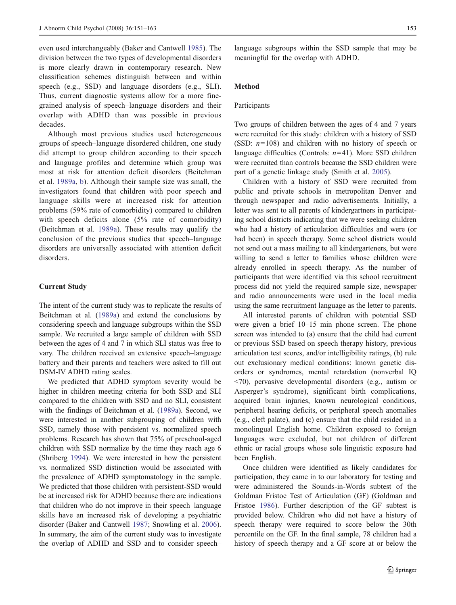even used interchangeably (Baker and Cantwell [1985](#page-10-0)). The division between the two types of developmental disorders is more clearly drawn in contemporary research. New classification schemes distinguish between and within speech (e.g., SSD) and language disorders (e.g., SLI). Thus, current diagnostic systems allow for a more finegrained analysis of speech–language disorders and their overlap with ADHD than was possible in previous decades.

Although most previous studies used heterogeneous groups of speech–language disordered children, one study did attempt to group children according to their speech and language profiles and determine which group was most at risk for attention deficit disorders (Beitchman et al. [1989a,](#page-10-0) [b](#page-11-0)). Although their sample size was small, the investigators found that children with poor speech and language skills were at increased risk for attention problems (59% rate of comorbidity) compared to children with speech deficits alone (5% rate of comorbidity) (Beitchman et al. [1989a\)](#page-10-0). These results may qualify the conclusion of the previous studies that speech–language disorders are universally associated with attention deficit disorders.

## Current Study

The intent of the current study was to replicate the results of Beitchman et al. [\(1989a](#page-10-0)) and extend the conclusions by considering speech and language subgroups within the SSD sample. We recruited a large sample of children with SSD between the ages of 4 and 7 in which SLI status was free to vary. The children received an extensive speech–language battery and their parents and teachers were asked to fill out DSM-IV ADHD rating scales.

We predicted that ADHD symptom severity would be higher in children meeting criteria for both SSD and SLI compared to the children with SSD and no SLI, consistent with the findings of Beitchman et al. ([1989a](#page-10-0)). Second, we were interested in another subgrouping of children with SSD, namely those with persistent vs. normalized speech problems. Research has shown that 75% of preschool-aged children with SSD normalize by the time they reach age 6 (Shriberg [1994\)](#page-11-0). We were interested in how the persistent vs. normalized SSD distinction would be associated with the prevalence of ADHD symptomatology in the sample. We predicted that those children with persistent-SSD would be at increased risk for ADHD because there are indications that children who do not improve in their speech–language skills have an increased risk of developing a psychiatric disorder (Baker and Cantwell [1987](#page-10-0); Snowling et al. [2006](#page-12-0)). In summary, the aim of the current study was to investigate the overlap of ADHD and SSD and to consider speech–

language subgroups within the SSD sample that may be meaningful for the overlap with ADHD.

# Method

#### Participants

Two groups of children between the ages of 4 and 7 years were recruited for this study: children with a history of SSD (SSD:  $n=108$ ) and children with no history of speech or language difficulties (Controls:  $n=41$ ). More SSD children were recruited than controls because the SSD children were part of a genetic linkage study (Smith et al. [2005](#page-12-0)).

Children with a history of SSD were recruited from public and private schools in metropolitan Denver and through newspaper and radio advertisements. Initially, a letter was sent to all parents of kindergartners in participating school districts indicating that we were seeking children who had a history of articulation difficulties and were (or had been) in speech therapy. Some school districts would not send out a mass mailing to all kindergarteners, but were willing to send a letter to families whose children were already enrolled in speech therapy. As the number of participants that were identified via this school recruitment process did not yield the required sample size, newspaper and radio announcements were used in the local media using the same recruitment language as the letter to parents.

All interested parents of children with potential SSD were given a brief 10–15 min phone screen. The phone screen was intended to (a) ensure that the child had current or previous SSD based on speech therapy history, previous articulation test scores, and/or intelligibility ratings, (b) rule out exclusionary medical conditions: known genetic disorders or syndromes, mental retardation (nonverbal IQ <70), pervasive developmental disorders (e.g., autism or Asperger's syndrome), significant birth complications, acquired brain injuries, known neurological conditions, peripheral hearing deficits, or peripheral speech anomalies (e.g., cleft palate), and (c) ensure that the child resided in a monolingual English home. Children exposed to foreign languages were excluded, but not children of different ethnic or racial groups whose sole linguistic exposure had been English.

Once children were identified as likely candidates for participation, they came in to our laboratory for testing and were administered the Sounds-in-Words subtest of the Goldman Fristoe Test of Articulation (GF) (Goldman and Fristoe [1986](#page-11-0)). Further description of the GF subtest is provided below. Children who did not have a history of speech therapy were required to score below the 30th percentile on the GF. In the final sample, 78 children had a history of speech therapy and a GF score at or below the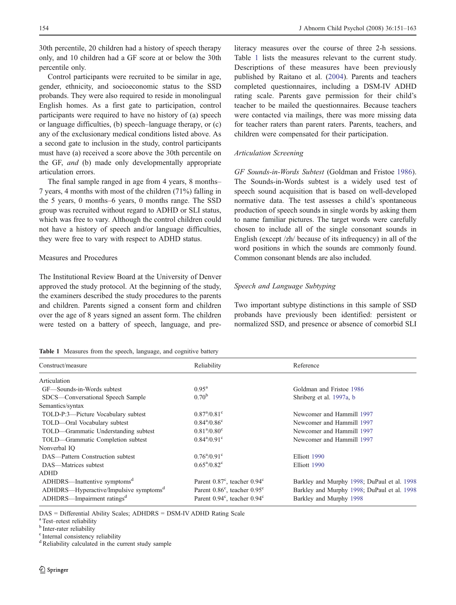30th percentile, 20 children had a history of speech therapy only, and 10 children had a GF score at or below the 30th percentile only.

Control participants were recruited to be similar in age, gender, ethnicity, and socioeconomic status to the SSD probands. They were also required to reside in monolingual English homes. As a first gate to participation, control participants were required to have no history of (a) speech or language difficulties, (b) speech–language therapy, or (c) any of the exclusionary medical conditions listed above. As a second gate to inclusion in the study, control participants must have (a) received a score above the 30th percentile on the GF, and (b) made only developmentally appropriate articulation errors.

The final sample ranged in age from 4 years, 8 months– 7 years, 4 months with most of the children (71%) falling in the 5 years, 0 months–6 years, 0 months range. The SSD group was recruited without regard to ADHD or SLI status, which was free to vary. Although the control children could not have a history of speech and/or language difficulties, they were free to vary with respect to ADHD status.

## Measures and Procedures

The Institutional Review Board at the University of Denver approved the study protocol. At the beginning of the study, the examiners described the study procedures to the parents and children. Parents signed a consent form and children over the age of 8 years signed an assent form. The children were tested on a battery of speech, language, and pre-

|  | Table 1 Measures from the speech, language, and cognitive battery |  |  |  |  |  |  |  |
|--|-------------------------------------------------------------------|--|--|--|--|--|--|--|
|--|-------------------------------------------------------------------|--|--|--|--|--|--|--|

literacy measures over the course of three 2-h sessions. Table 1 lists the measures relevant to the current study. Descriptions of these measures have been previously published by Raitano et al. ([2004\)](#page-11-0). Parents and teachers completed questionnaires, including a DSM-IV ADHD rating scale. Parents gave permission for their child's teacher to be mailed the questionnaires. Because teachers were contacted via mailings, there was more missing data for teacher raters than parent raters. Parents, teachers, and children were compensated for their participation.

## Articulation Screening

GF Sounds-in-Words Subtest (Goldman and Fristoe [1986\)](#page-11-0). The Sounds-in-Words subtest is a widely used test of speech sound acquisition that is based on well-developed normative data. The test assesses a child's spontaneous production of speech sounds in single words by asking them to name familiar pictures. The target words were carefully chosen to include all of the single consonant sounds in English (except /zh/ because of its infrequency) in all of the word positions in which the sounds are commonly found. Common consonant blends are also included.

#### Speech and Language Subtyping

Two important subtype distinctions in this sample of SSD probands have previously been identified: persistent or normalized SSD, and presence or absence of comorbid SLI

| Construct/measure                                  | Reliability                                    | Reference                                   |  |
|----------------------------------------------------|------------------------------------------------|---------------------------------------------|--|
| Articulation                                       |                                                |                                             |  |
| GF—Sounds-in-Words subtest                         | $0.95^{\rm a}$                                 | Goldman and Fristoe 1986                    |  |
| SDCS—Conversational Speech Sample                  | $0.70^{\rm b}$                                 | Shriberg et al. 1997a, b                    |  |
| Semantics/syntax                                   |                                                |                                             |  |
| TOLD-P:3—Picture Vocabulary subtest                | $0.87^{\rm a}/0.81^{\rm c}$                    | Newcomer and Hammill 1997                   |  |
| TOLD-Oral Vocabulary subtest                       | $0.84^{\rm a}/0.86^{\rm c}$                    | Newcomer and Hammill 1997                   |  |
| TOLD—Grammatic Understanding subtest               | $0.81^{\rm a}/0.80^{\rm c}$                    | Newcomer and Hammill 1997                   |  |
| TOLD-Grammatic Completion subtest                  | $0.84^{\rm a}/0.91^{\rm c}$                    | Newcomer and Hammill 1997                   |  |
| Nonverbal IO                                       |                                                |                                             |  |
| DAS—Pattern Construction subtest                   | $0.76^{\rm a}/0.91^{\rm c}$                    | Elliott 1990                                |  |
| DAS—Matrices subtest                               | $0.65^{\rm a}/0.82^{\rm c}$                    | Elliott 1990                                |  |
| ADHD                                               |                                                |                                             |  |
| ADHDRS—Inattentive symptoms <sup>d</sup>           | Parent $0.87^{\circ}$ , teacher $0.94^{\circ}$ | Barkley and Murphy 1998; DuPaul et al. 1998 |  |
| ADHDRS—Hyperactive/Impulsive symptoms <sup>d</sup> | Parent $0.86^{\circ}$ , teacher $0.95^{\circ}$ | Barkley and Murphy 1998; DuPaul et al. 1998 |  |
| ADHDRS—Impairment ratings <sup>d</sup>             | Parent $0.94^{\circ}$ , teacher $0.94^{\circ}$ | Barkley and Murphy 1998                     |  |

DAS = Differential Ability Scales; ADHDRS = DSM-IV ADHD Rating Scale

<sup>a</sup> Test–retest reliability<br><sup>b</sup> Inter-rater reliability

<sup>c</sup> Internal consistency reliability

<sup>d</sup>Reliability calculated in the current study sample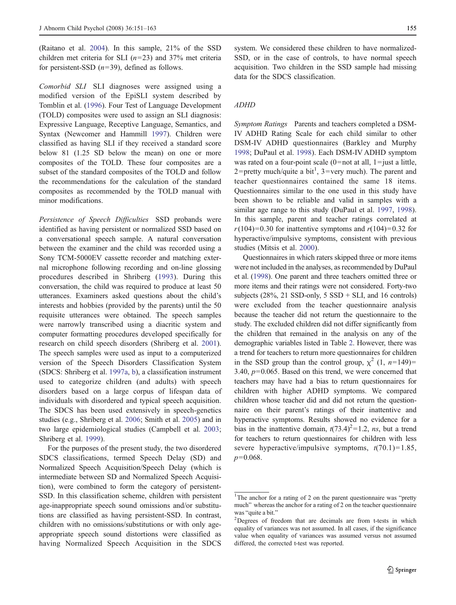(Raitano et al. [2004](#page-11-0)). In this sample, 21% of the SSD children met criteria for SLI ( $n=23$ ) and 37% met criteria for persistent-SSD  $(n=39)$ , defined as follows.

Comorbid SLI SLI diagnoses were assigned using a modified version of the EpiSLI system described by Tomblin et al. [\(1996](#page-12-0)). Four Test of Language Development (TOLD) composites were used to assign an SLI diagnosis: Expressive Language, Receptive Language, Semantics, and Syntax (Newcomer and Hammill [1997\)](#page-11-0). Children were classified as having SLI if they received a standard score below 81 (1.25 SD below the mean) on one or more composites of the TOLD. These four composites are a subset of the standard composites of the TOLD and follow the recommendations for the calculation of the standard composites as recommended by the TOLD manual with minor modifications.

Persistence of Speech Difficulties SSD probands were identified as having persistent or normalized SSD based on a conversational speech sample. A natural conversation between the examiner and the child was recorded using a Sony TCM-5000EV cassette recorder and matching external microphone following recording and on-line glossing procedures described in Shriberg [\(1993\)](#page-11-0). During this conversation, the child was required to produce at least 50 utterances. Examiners asked questions about the child's interests and hobbies (provided by the parents) until the 50 requisite utterances were obtained. The speech samples were narrowly transcribed using a diacritic system and computer formatting procedures developed specifically for research on child speech disorders (Shriberg et al. [2001](#page-11-0)). The speech samples were used as input to a computerized version of the Speech Disorders Classification System (SDCS: Shriberg et al. [1997a](#page-12-0), [b](#page-12-0)), a classification instrument used to categorize children (and adults) with speech disorders based on a large corpus of lifespan data of individuals with disordered and typical speech acquisition. The SDCS has been used extensively in speech-genetics studies (e.g., Shriberg et al. [2006;](#page-12-0) Smith et al. [2005](#page-12-0)) and in two large epidemiological studies (Campbell et al. [2003](#page-11-0); Shriberg et al. [1999](#page-12-0)).

For the purposes of the present study, the two disordered SDCS classifications, termed Speech Delay (SD) and Normalized Speech Acquisition/Speech Delay (which is intermediate between SD and Normalized Speech Acquisition), were combined to form the category of persistent-SSD. In this classification scheme, children with persistent age-inappropriate speech sound omissions and/or substitutions are classified as having persistent-SSD. In contrast, children with no omissions/substitutions or with only ageappropriate speech sound distortions were classified as having Normalized Speech Acquisition in the SDCS system. We considered these children to have normalized-SSD, or in the case of controls, to have normal speech acquisition. Two children in the SSD sample had missing data for the SDCS classification.

#### ADHD

Symptom Ratings Parents and teachers completed a DSM-IV ADHD Rating Scale for each child similar to other DSM-IV ADHD questionnaires (Barkley and Murphy [1998](#page-10-0); DuPaul et al. [1998](#page-11-0)). Each DSM-IV ADHD symptom was rated on a four-point scale  $(0=$ not at all,  $1=$ just a little, 2=pretty much/quite a bit<sup>1</sup>, 3=very much). The parent and teacher questionnaires contained the same 18 items. Questionnaires similar to the one used in this study have been shown to be reliable and valid in samples with a similar age range to this study (DuPaul et al. [1997,](#page-11-0) [1998\)](#page-11-0). In this sample, parent and teacher ratings correlated at  $r(104)=0.30$  for inattentive symptoms and  $r(104)=0.32$  for hyperactive/impulsive symptoms, consistent with previous studies (Mitsis et al. [2000](#page-11-0)).

Questionnaires in which raters skipped three or more items were not included in the analyses, as recommended by DuPaul et al. ([1998](#page-11-0)). One parent and three teachers omitted three or more items and their ratings were not considered. Forty-two subjects  $(28\%, 21$  SSD-only,  $5$  SSD + SLI, and 16 controls) were excluded from the teacher questionnaire analysis because the teacher did not return the questionnaire to the study. The excluded children did not differ significantly from the children that remained in the analysis on any of the demographic variables listed in Table [2.](#page-5-0) However, there was a trend for teachers to return more questionnaires for children in the SSD group than the control group,  $\chi^2$  (1, n=149)= 3.40,  $p=0.065$ . Based on this trend, we were concerned that teachers may have had a bias to return questionnaires for children with higher ADHD symptoms. We compared children whose teacher did and did not return the questionnaire on their parent's ratings of their inattentive and hyperactive symptoms. Results showed no evidence for a bias in the inattentive domain,  $t(73.4)^2 = 1.2$ , ns, but a trend for teachers to return questionnaires for children with less severe hyperactive/impulsive symptoms,  $t(70.1)=1.85$ ,  $p=0.068$ .

<sup>&</sup>lt;sup>1</sup>The anchor for a rating of 2 on the parent questionnaire was "pretty much" whereas the anchor for a rating of 2 on the teacher questionnaire was "quite a bit."

<sup>&</sup>lt;sup>2</sup>Degrees of freedom that are decimals are from t-tests in which equality of variances was not assumed. In all cases, if the significance value when equality of variances was assumed versus not assumed differed, the corrected t-test was reported.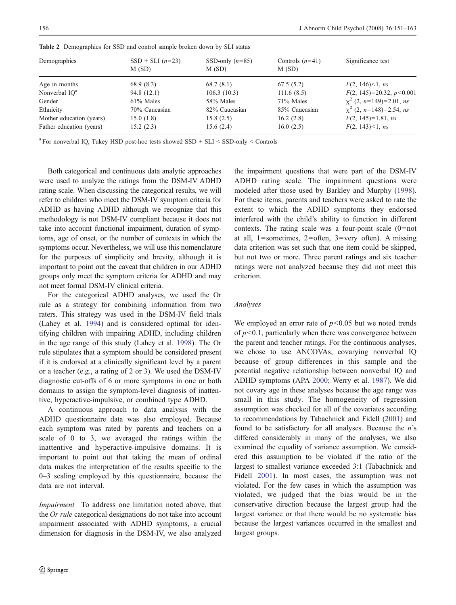| Demographics             | $SSD + SLI (n=23)$ | SSD-only $(n=85)$ | Controls $(n=41)$ | Significance test            |
|--------------------------|--------------------|-------------------|-------------------|------------------------------|
|                          | M(SD)              | M(SD)             | M(SD)             |                              |
| Age in months            | 68.9 (8.3)         | 68.7(8.1)         | 67.5(5.2)         | $F(2, 146) < 1$ , ns         |
| Nonverbal $IOa$          | 94.8(12.1)         | 106.3(10.3)       | 111.6(8.5)        | $F(2, 145)=20.32, p<0.001$   |
| Gender                   | 61% Males          | 58% Males         | 71% Males         | $\chi^2$ (2, n=149)=2.01, ns |
| Ethnicity                | 70% Caucasian      | 82% Caucasian     | 85% Caucasian     | $\chi^2$ (2, n=148)=2.54, ns |
| Mother education (years) | 15.0(1.8)          | 15.8(2.5)         | 16.2(2.8)         | $F(2, 145)=1.81$ , ns        |
| Father education (years) | 15.2(2.3)          | 15.6(2.4)         | 16.0(2.5)         | $F(2, 143) < 1$ , ns         |

<span id="page-5-0"></span>Table 2 Demographics for SSD and control sample broken down by SLI status

<sup>a</sup> For nonverbal IQ, Tukey HSD post-hoc tests showed SSD + SLI < SSD-only < Controls

Both categorical and continuous data analytic approaches were used to analyze the ratings from the DSM-IV ADHD rating scale. When discussing the categorical results, we will refer to children who meet the DSM-IV symptom criteria for ADHD as having ADHD although we recognize that this methodology is not DSM-IV compliant because it does not take into account functional impairment, duration of symptoms, age of onset, or the number of contexts in which the symptoms occur. Nevertheless, we will use this nomenclature for the purposes of simplicity and brevity, although it is important to point out the caveat that children in our ADHD groups only meet the symptom criteria for ADHD and may not meet formal DSM-IV clinical criteria.

For the categorical ADHD analyses, we used the Or rule as a strategy for combining information from two raters. This strategy was used in the DSM-IV field trials (Lahey et al. [1994\)](#page-11-0) and is considered optimal for identifying children with impairing ADHD, including children in the age range of this study (Lahey et al. [1998\)](#page-11-0). The Or rule stipulates that a symptom should be considered present if it is endorsed at a clinically significant level by a parent or a teacher (e.g., a rating of 2 or 3). We used the DSM-IV diagnostic cut-offs of 6 or more symptoms in one or both domains to assign the symptom-level diagnosis of inattentive, hyperactive-impulsive, or combined type ADHD.

A continuous approach to data analysis with the ADHD questionnaire data was also employed. Because each symptom was rated by parents and teachers on a scale of 0 to 3, we averaged the ratings within the inattentive and hyperactive-impulsive domains. It is important to point out that taking the mean of ordinal data makes the interpretation of the results specific to the 0–3 scaling employed by this questionnaire, because the data are not interval.

Impairment To address one limitation noted above, that the Or rule categorical designations do not take into account impairment associated with ADHD symptoms, a crucial dimension for diagnosis in the DSM-IV, we also analyzed the impairment questions that were part of the DSM-IV ADHD rating scale. The impairment questions were modeled after those used by Barkley and Murphy ([1998\)](#page-10-0). For these items, parents and teachers were asked to rate the extent to which the ADHD symptoms they endorsed interfered with the child's ability to function in different contexts. The rating scale was a four-point scale  $(0=$ not at all, 1=sometimes, 2=often, 3=very often). A missing data criterion was set such that one item could be skipped, but not two or more. Three parent ratings and six teacher ratings were not analyzed because they did not meet this criterion.

## Analyses

We employed an error rate of  $p<0.05$  but we noted trends of  $p<0.1$ , particularly when there was convergence between the parent and teacher ratings. For the continuous analyses, we chose to use ANCOVAs, covarying nonverbal IQ because of group differences in this sample and the potential negative relationship between nonverbal IQ and ADHD symptoms (APA [2000](#page-10-0); Werry et al. [1987\)](#page-12-0). We did not covary age in these analyses because the age range was small in this study. The homogeneity of regression assumption was checked for all of the covariates according to recommendations by Tabachnick and Fidell ([2001\)](#page-12-0) and found to be satisfactory for all analyses. Because the  $n$ 's differed considerably in many of the analyses, we also examined the equality of variance assumption. We considered this assumption to be violated if the ratio of the largest to smallest variance exceeded 3:1 (Tabachnick and Fidell [2001\)](#page-12-0). In most cases, the assumption was not violated. For the few cases in which the assumption was violated, we judged that the bias would be in the conservative direction because the largest group had the largest variance or that there would be no systematic bias because the largest variances occurred in the smallest and largest groups.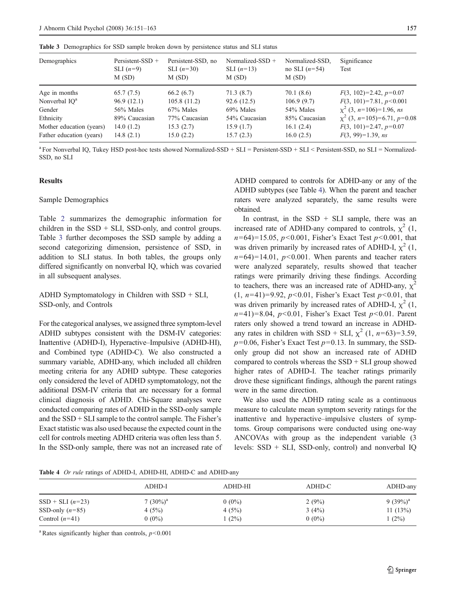| Demographics                                         | Persistent-SSD $+$<br>SLI $(n=9)$<br>M(SD) | Persistent-SSD, no<br>SLI $(n=30)$<br>M(SD) | Normalized-SSD $+$<br>SLI $(n=13)$<br>M(SD) | Normalized-SSD,<br>no SLI $(n=54)$<br>M(SD) | Significance<br>Test                             |
|------------------------------------------------------|--------------------------------------------|---------------------------------------------|---------------------------------------------|---------------------------------------------|--------------------------------------------------|
| Age in months                                        | 65.7(7.5)                                  | 66.2(6.7)                                   | 71.3(8.7)                                   | 70.1(8.6)                                   | $F(3, 102)=2.42, p=0.07$                         |
| Nonverbal $IOa$                                      | 96.9(12.1)                                 | 105.8(11.2)                                 | 92.6(12.5)                                  | 106.9(9.7)                                  | $F(3, 101)=7.81, p<0.001$                        |
| Gender                                               | 56% Males                                  | 67% Males                                   | 69% Males                                   | 54% Males                                   | $\chi^2$ (3, n=106)=1.96, ns                     |
| Ethnicity                                            | 89% Caucasian                              | 77% Caucasian                               | 54% Caucasian                               | 85% Caucasian                               | $\chi^2$ (3, n=105)=6.71, p=0.08                 |
| Mother education (years)<br>Father education (years) | 14.0(1.2)<br>14.8(2.1)                     | 15.3(2.7)<br>15.0(2.2)                      | 15.9(1.7)<br>15.7(2.3)                      | 16.1(2.4)<br>16.0(2.5)                      | $F(3, 101)=2.47, p=0.07$<br>$F(3, 99)=1.39$ , ns |

<span id="page-6-0"></span>Table 3 Demographics for SSD sample broken down by persistence status and SLI status

<sup>a</sup> For Nonverbal IQ, Tukey HSD post-hoc tests showed Normalized-SSD + SLI = Persistent-SSD + SLI < Persistent-SSD, no SLI = Normalized-SSD, no SLI

#### Results

#### Sample Demographics

Table [2](#page-5-0) summarizes the demographic information for children in the  $SSD + SLI$ ,  $SSD$ -only, and control groups. Table 3 further decomposes the SSD sample by adding a second categorizing dimension, persistence of SSD, in addition to SLI status. In both tables, the groups only differed significantly on nonverbal IQ, which was covaried in all subsequent analyses.

ADHD Symptomatology in Children with SSD + SLI, SSD-only, and Controls

For the categorical analyses, we assigned three symptom-level ADHD subtypes consistent with the DSM-IV categories: Inattentive (ADHD-I), Hyperactive–Impulsive (ADHD-HI), and Combined type (ADHD-C). We also constructed a summary variable, ADHD-any, which included all children meeting criteria for any ADHD subtype. These categories only considered the level of ADHD symptomatology, not the additional DSM-IV criteria that are necessary for a formal clinical diagnosis of ADHD. Chi-Square analyses were conducted comparing rates of ADHD in the SSD-only sample and the SSD + SLI sample to the control sample. The Fisher's Exact statistic was also used because the expected count in the cell for controls meeting ADHD criteria was often less than 5. In the SSD-only sample, there was not an increased rate of ADHD compared to controls for ADHD-any or any of the ADHD subtypes (see Table 4). When the parent and teacher raters were analyzed separately, the same results were obtained.

In contrast, in the  $SSD + SLI$  sample, there was an increased rate of ADHD-any compared to controls,  $\chi^2$  (1,  $n=64$ )=15.05,  $p<0.001$ , Fisher's Exact Test  $p<0.001$ , that was driven primarily by increased rates of ADHD-I,  $\chi^2$  (1,  $n=64$ )=14.01,  $p<0.001$ . When parents and teacher raters were analyzed separately, results showed that teacher ratings were primarily driving these findings. According to teachers, there was an increased rate of ADHD-any,  $\chi$ <sup>2</sup>  $(1, n=41)=9.92, p<0.01$ , Fisher's Exact Test  $p<0.01$ , that was driven primarily by increased rates of ADHD-I,  $\chi^2$  (1,  $n=41$ )=8.04,  $p<0.01$ , Fisher's Exact Test  $p<0.01$ . Parent raters only showed a trend toward an increase in ADHDany rates in children with SSD + SLI,  $\chi^2$  (1, n=63)=3.59,  $p=0.06$ , Fisher's Exact Test  $p=0.13$ . In summary, the SSDonly group did not show an increased rate of ADHD compared to controls whereas the  $SSD + SLI$  group showed higher rates of ADHD-I. The teacher ratings primarily drove these significant findings, although the parent ratings were in the same direction.

We also used the ADHD rating scale as a continuous measure to calculate mean symptom severity ratings for the inattentive and hyperactive–impulsive clusters of symptoms. Group comparisons were conducted using one-way ANCOVAs with group as the independent variable (3 levels: SSD + SLI, SSD-only, control) and nonverbal IQ

Table 4 Or rule ratings of ADHD-I, ADHD-HI, ADHD-C and ADHD-any

|                    | ADHD-I       | ADHD-HI  | ADHD-C   | ADHD-any     |
|--------------------|--------------|----------|----------|--------------|
| $SSD + SLI (n=23)$ | 7 $(30\%)^a$ | $0(0\%)$ | 2(9%)    | 9 $(39\%)^a$ |
| SSD-only $(n=85)$  | 4(5%)        | 4(5%)    | 3(4%)    | 11 $(13%)$   |
| Control $(n=41)$   | $0(0\%)$     | (2%)     | $0(0\%)$ | 1(2%)        |

<sup>a</sup>Rates significantly higher than controls,  $p < 0.001$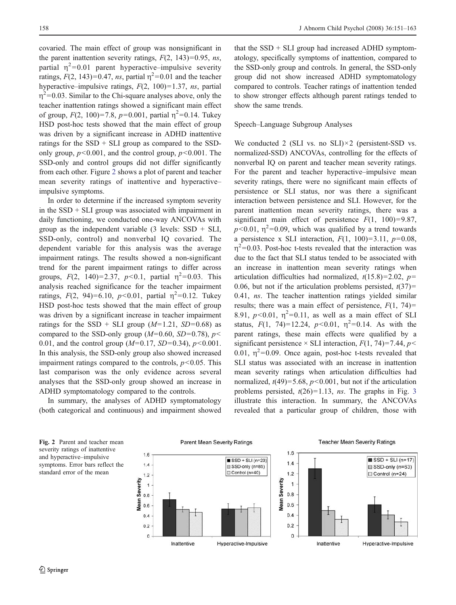covaried. The main effect of group was nonsignificant in the parent inattention severity ratings,  $F(2, 143)=0.95$ , ns, partial  $\eta^2$ =0.01 parent hyperactive–impulsive severity ratings,  $F(2, 143)=0.47$ , ns, partial  $\eta^2=0.01$  and the teacher hyperactive–impulsive ratings,  $F(2, 100) = 1.37$ , ns, partial  $\eta^2$ =0.03. Similar to the Chi-square analyses above, only the teacher inattention ratings showed a significant main effect of group,  $F(2, 100)=7.8$ ,  $p=0.001$ , partial  $\eta^2=0.14$ . Tukey HSD post-hoc tests showed that the main effect of group was driven by a significant increase in ADHD inattentive ratings for the  $SSD + SLI$  group as compared to the SSDonly group,  $p<0.001$ , and the control group,  $p<0.001$ . The SSD-only and control groups did not differ significantly from each other. Figure 2 shows a plot of parent and teacher mean severity ratings of inattentive and hyperactive– impulsive symptoms.

In order to determine if the increased symptom severity in the  $SSD + SLI$  group was associated with impairment in daily functioning, we conducted one-way ANCOVAs with group as the independent variable  $(3 \text{ levels: SSD} + \text{SLI},$ SSD-only, control) and nonverbal IQ covaried. The dependent variable for this analysis was the average impairment ratings. The results showed a non-significant trend for the parent impairment ratings to differ across groups,  $F(2, 140)=2.37$ ,  $p<0.1$ , partial  $\eta^2=0.03$ . This analysis reached significance for the teacher impairment ratings,  $F(2, 94)=6.10$ ,  $p<0.01$ , partial  $η<sup>2</sup>=0.12$ . Tukey HSD post-hoc tests showed that the main effect of group was driven by a significant increase in teacher impairment ratings for the SSD + SLI group  $(M=1.21, SD=0.68)$  as compared to the SSD-only group ( $M=0.60$ ,  $SD=0.78$ ),  $p<$ 0.01, and the control group  $(M=0.17, SD=0.34)$ ,  $p<0.001$ . In this analysis, the SSD-only group also showed increased impairment ratings compared to the controls,  $p<0.05$ . This last comparison was the only evidence across several analyses that the SSD-only group showed an increase in ADHD symptomatology compared to the controls.

In summary, the analyses of ADHD symptomatology (both categorical and continuous) and impairment showed

1.6

 $1.4$ 

 $1.2$ 

Mean Severity<br>
0.8<br>
0.8<br>
0.6

 $0.4$ 

 $0.2$ 

 $\mathbf{0}$ 

Inattentive

that the  $SSD + SLI$  group had increased ADHD symptomatology, specifically symptoms of inattention, compared to the SSD-only group and controls. In general, the SSD-only group did not show increased ADHD symptomatology compared to controls. Teacher ratings of inattention tended to show stronger effects although parent ratings tended to show the same trends.

## Speech–Language Subgroup Analyses

We conducted 2 (SLI vs. no SLI) $\times$ 2 (persistent-SSD vs. normalized-SSD) ANCOVAs, controlling for the effects of nonverbal IQ on parent and teacher mean severity ratings. For the parent and teacher hyperactive–impulsive mean severity ratings, there were no significant main effects of persistence or SLI status, nor was there a significant interaction between persistence and SLI. However, for the parent inattention mean severity ratings, there was a significant main effect of persistence  $F(1, 100)=9.87$ ,  $p<0.01$ ,  $\eta^2=0.09$ , which was qualified by a trend towards a persistence x SLI interaction,  $F(1, 100)=3.11$ ,  $p=0.08$ ,  $\eta^2$ =0.03. Post-hoc t-tests revealed that the interaction was due to the fact that SLI status tended to be associated with an increase in inattention mean severity ratings when articulation difficulties had normalized,  $t(15.8)=2.02$ ,  $p=$ 0.06, but not if the articulation problems persisted,  $t(37)=$ 0.41, ns. The teacher inattention ratings yielded similar results; there was a main effect of persistence,  $F(1, 74)$ = 8.91,  $p<0.01$ ,  $\eta^2=0.11$ , as well as a main effect of SLI status,  $F(1, 74)=12.24$ ,  $p<0.01$ ,  $\eta^2=0.14$ . As with the parent ratings, these main effects were qualified by a significant persistence  $\times$  SLI interaction,  $F(1, 74)=7.44$ ,  $p<$ 0.01,  $\eta^2$ =0.09. Once again, post-hoc t-tests revealed that SLI status was associated with an increase in inattention mean severity ratings when articulation difficulties had normalized,  $t(49)=5.68$ ,  $p<0.001$ , but not if the articulation problems persisted,  $t(26)=1.13$  $t(26)=1.13$ , *ns*. The graphs in Fig. 3 illustrate this interaction. In summary, the ANCOVAs revealed that a particular group of children, those with

Fig. 2 Parent and teacher mean severity ratings of inattentive and hyperactive–impulsive symptoms. Error bars reflect the standard error of the mean





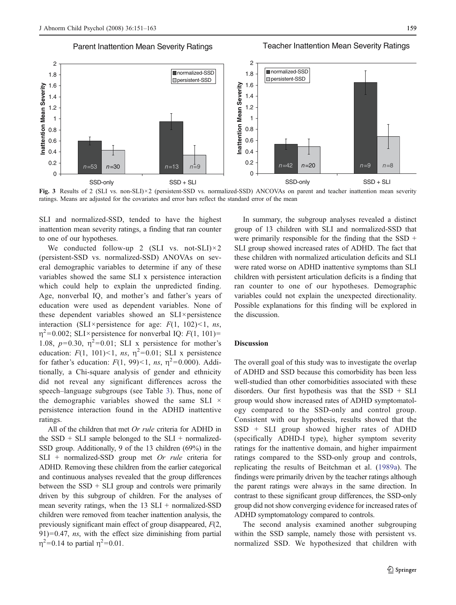## Parent Inattention Mean Severity Ratings



<span id="page-8-0"></span>

Fig. 3 Results of 2 (SLI vs. non-SLI)×2 (persistent-SSD vs. normalized-SSD) ANCOVAs on parent and teacher inattention mean severity ratings. Means are adjusted for the covariates and error bars reflect the standard error of the mean

SLI and normalized-SSD, tended to have the highest inattention mean severity ratings, a finding that ran counter to one of our hypotheses.

We conducted follow-up 2 (SLI vs. not-SLI) $\times$ 2 (persistent-SSD vs. normalized-SSD) ANOVAs on several demographic variables to determine if any of these variables showed the same SLI x persistence interaction which could help to explain the unpredicted finding. Age, nonverbal IQ, and mother's and father's years of education were used as dependent variables. None of these dependent variables showed an SLI×persistence interaction (SLI×persistence for age:  $F(1, 102)$  < 1, ns,  $\eta^2$ =0.002; SLI×persistence for nonverbal IQ:  $F(1, 101)$ = 1.08,  $p=0.30$ ,  $\eta^2=0.01$ ; SLI x persistence for mother's education:  $F(1, 101) < 1$ ,  $ns$ ,  $\eta^2 = 0.01$ ; SLI x persistence for father's education:  $F(1, 99) < 1$ ,  $ns$ ,  $\eta^2 = 0.000$ ). Additionally, a Chi-square analysis of gender and ethnicity did not reveal any significant differences across the speech–language subgroups (see Table [3](#page-6-0)). Thus, none of the demographic variables showed the same SLI  $\times$ persistence interaction found in the ADHD inattentive ratings.

All of the children that met Or rule criteria for ADHD in the  $SSD + SLI$  sample belonged to the  $SLI$  + normalized-SSD group. Additionally, 9 of the 13 children (69%) in the SLI + normalized-SSD group met Or rule criteria for ADHD. Removing these children from the earlier categorical and continuous analyses revealed that the group differences between the  $SSD + SLI$  group and controls were primarily driven by this subgroup of children. For the analyses of mean severity ratings, when the  $13$  SLI + normalized-SSD children were removed from teacher inattention analysis, the previously significant main effect of group disappeared, F(2,  $91$ )=0.47, *ns*, with the effect size diminishing from partial  $η<sup>2</sup>=0.14$  to partial  $η<sup>2</sup>=0.01$ .

In summary, the subgroup analyses revealed a distinct group of 13 children with SLI and normalized-SSD that were primarily responsible for the finding that the SSD + SLI group showed increased rates of ADHD. The fact that these children with normalized articulation deficits and SLI were rated worse on ADHD inattentive symptoms than SLI children with persistent articulation deficits is a finding that ran counter to one of our hypotheses. Demographic variables could not explain the unexpected directionality. Possible explanations for this finding will be explored in the discussion.

# Discussion

The overall goal of this study was to investigate the overlap of ADHD and SSD because this comorbidity has been less well-studied than other comorbidities associated with these disorders. Our first hypothesis was that the  $SSD + SLI$ group would show increased rates of ADHD symptomatology compared to the SSD-only and control group. Consistent with our hypothesis, results showed that the SSD + SLI group showed higher rates of ADHD (specifically ADHD-I type), higher symptom severity ratings for the inattentive domain, and higher impairment ratings compared to the SSD-only group and controls, replicating the results of Beitchman et al. [\(1989a](#page-10-0)). The findings were primarily driven by the teacher ratings although the parent ratings were always in the same direction. In contrast to these significant group differences, the SSD-only group did not show converging evidence for increased rates of ADHD symptomatology compared to controls.

The second analysis examined another subgrouping within the SSD sample, namely those with persistent vs. normalized SSD. We hypothesized that children with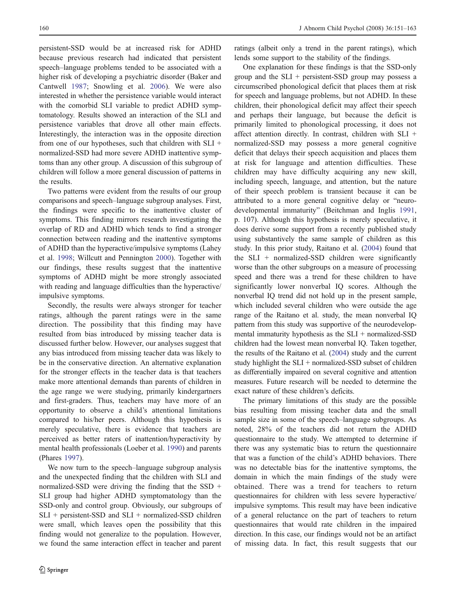persistent-SSD would be at increased risk for ADHD because previous research had indicated that persistent speech–language problems tended to be associated with a higher risk of developing a psychiatric disorder (Baker and Cantwell [1987](#page-10-0); Snowling et al. [2006](#page-12-0)). We were also interested in whether the persistence variable would interact with the comorbid SLI variable to predict ADHD symptomatology. Results showed an interaction of the SLI and persistence variables that drove all other main effects. Interestingly, the interaction was in the opposite direction from one of our hypotheses, such that children with  $SLI$  + normalized-SSD had more severe ADHD inattentive symptoms than any other group. A discussion of this subgroup of children will follow a more general discussion of patterns in the results.

Two patterns were evident from the results of our group comparisons and speech–language subgroup analyses. First, the findings were specific to the inattentive cluster of symptoms. This finding mirrors research investigating the overlap of RD and ADHD which tends to find a stronger connection between reading and the inattentive symptoms of ADHD than the hyperactive/impulsive symptoms (Lahey et al. [1998;](#page-11-0) Willcutt and Pennington [2000\)](#page-12-0). Together with our findings, these results suggest that the inattentive symptoms of ADHD might be more strongly associated with reading and language difficulties than the hyperactive/ impulsive symptoms.

Secondly, the results were always stronger for teacher ratings, although the parent ratings were in the same direction. The possibility that this finding may have resulted from bias introduced by missing teacher data is discussed further below. However, our analyses suggest that any bias introduced from missing teacher data was likely to be in the conservative direction. An alternative explanation for the stronger effects in the teacher data is that teachers make more attentional demands than parents of children in the age range we were studying, primarily kindergartners and first-graders. Thus, teachers may have more of an opportunity to observe a child's attentional limitations compared to his/her peers. Although this hypothesis is merely speculative, there is evidence that teachers are perceived as better raters of inattention/hyperactivity by mental health professionals (Loeber et al. [1990\)](#page-11-0) and parents (Phares [1997\)](#page-11-0).

We now turn to the speech–language subgroup analysis and the unexpected finding that the children with SLI and normalized-SSD were driving the finding that the SSD  $+$ SLI group had higher ADHD symptomatology than the SSD-only and control group. Obviously, our subgroups of SLI + persistent-SSD and SLI + normalized-SSD children were small, which leaves open the possibility that this finding would not generalize to the population. However, we found the same interaction effect in teacher and parent

ratings (albeit only a trend in the parent ratings), which lends some support to the stability of the findings.

One explanation for these findings is that the SSD-only group and the  $SLI$  + persistent-SSD group may possess a circumscribed phonological deficit that places them at risk for speech and language problems, but not ADHD. In these children, their phonological deficit may affect their speech and perhaps their language, but because the deficit is primarily limited to phonological processing, it does not affect attention directly. In contrast, children with SLI + normalized-SSD may possess a more general cognitive deficit that delays their speech acquisition and places them at risk for language and attention difficulties. These children may have difficulty acquiring any new skill, including speech, language, and attention, but the nature of their speech problem is transient because it can be attributed to a more general cognitive delay or "neurodevelopmental immaturity" (Beitchman and Inglis [1991,](#page-11-0) p. 107). Although this hypothesis is merely speculative, it does derive some support from a recently published study using substantively the same sample of children as this study. In this prior study, Raitano et al. ([2004\)](#page-11-0) found that the  $SLI$  + normalized-SSD children were significantly worse than the other subgroups on a measure of processing speed and there was a trend for these children to have significantly lower nonverbal IQ scores. Although the nonverbal IQ trend did not hold up in the present sample, which included several children who were outside the age range of the Raitano et al. study, the mean nonverbal IQ pattern from this study was supportive of the neurodevelopmental immaturity hypothesis as the SLI + normalized-SSD children had the lowest mean nonverbal IQ. Taken together, the results of the Raitano et al. [\(2004\)](#page-11-0) study and the current study highlight the SLI + normalized-SSD subset of children as differentially impaired on several cognitive and attention measures. Future research will be needed to determine the exact nature of these children's deficits.

The primary limitations of this study are the possible bias resulting from missing teacher data and the small sample size in some of the speech–language subgroups. As noted, 28% of the teachers did not return the ADHD questionnaire to the study. We attempted to determine if there was any systematic bias to return the questionnaire that was a function of the child's ADHD behaviors. There was no detectable bias for the inattentive symptoms, the domain in which the main findings of the study were obtained. There was a trend for teachers to return questionnaires for children with less severe hyperactive/ impulsive symptoms. This result may have been indicative of a general reluctance on the part of teachers to return questionnaires that would rate children in the impaired direction. In this case, our findings would not be an artifact of missing data. In fact, this result suggests that our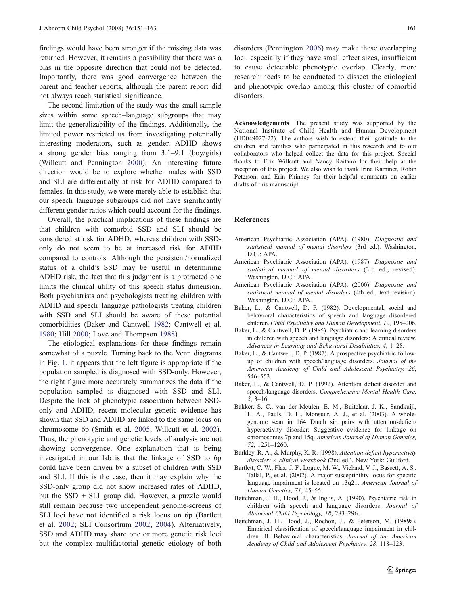<span id="page-10-0"></span>findings would have been stronger if the missing data was returned. However, it remains a possibility that there was a bias in the opposite direction that could not be detected. Importantly, there was good convergence between the parent and teacher reports, although the parent report did not always reach statistical significance.

The second limitation of the study was the small sample sizes within some speech–language subgroups that may limit the generalizability of the findings. Additionally, the limited power restricted us from investigating potentially interesting moderators, such as gender. ADHD shows a strong gender bias ranging from 3:1–9:1 (boy/girls) (Willcutt and Pennington [2000](#page-12-0)). An interesting future direction would be to explore whether males with SSD and SLI are differentially at risk for ADHD compared to females. In this study, we were merely able to establish that our speech–language subgroups did not have significantly different gender ratios which could account for the findings.

Overall, the practical implications of these findings are that children with comorbid SSD and SLI should be considered at risk for ADHD, whereas children with SSDonly do not seem to be at increased risk for ADHD compared to controls. Although the persistent/normalized status of a child's SSD may be useful in determining ADHD risk, the fact that this judgment is a protracted one limits the clinical utility of this speech status dimension. Both psychiatrists and psychologists treating children with ADHD and speech–language pathologists treating children with SSD and SLI should be aware of these potential comorbidities (Baker and Cantwell 1982; Cantwell et al. [1980](#page-11-0); Hill [2000;](#page-11-0) Love and Thompson [1988\)](#page-11-0).

The etiological explanations for these findings remain somewhat of a puzzle. Turning back to the Venn diagrams in Fig. [1,](#page-1-0) it appears that the left figure is appropriate if the population sampled is diagnosed with SSD-only. However, the right figure more accurately summarizes the data if the population sampled is diagnosed with SSD and SLI. Despite the lack of phenotypic association between SSDonly and ADHD, recent molecular genetic evidence has shown that SSD and ADHD are linked to the same locus on chromosome 6p (Smith et al. [2005;](#page-12-0) Willcutt et al. [2002](#page-12-0)). Thus, the phenotypic and genetic levels of analysis are not showing convergence. One explanation that is being investigated in our lab is that the linkage of SSD to 6p could have been driven by a subset of children with SSD and SLI. If this is the case, then it may explain why the SSD-only group did not show increased rates of ADHD, but the  $SSD + SLI$  group did. However, a puzzle would still remain because two independent genome-screens of SLI loci have not identified a risk locus on 6p (Bartlett et al. 2002; SLI Consortium [2002](#page-12-0), [2004\)](#page-12-0). Alternatively, SSD and ADHD may share one or more genetic risk loci but the complex multifactorial genetic etiology of both

disorders (Pennington [2006\)](#page-11-0) may make these overlapping loci, especially if they have small effect sizes, insufficient to cause detectable phenotypic overlap. Clearly, more research needs to be conducted to dissect the etiological and phenotypic overlap among this cluster of comorbid disorders.

Acknowledgements The present study was supported by the National Institute of Child Health and Human Development (HD049027-22). The authors wish to extend their gratitude to the children and families who participated in this research and to our collaborators who helped collect the data for this project. Special thanks to Erik Willcutt and Nancy Raitano for their help at the inception of this project. We also wish to thank Irina Kaminer, Robin Peterson, and Erin Phinney for their helpful comments on earlier drafts of this manuscript.

## References

- American Psychiatric Association (APA). (1980). Diagnostic and statistical manual of mental disorders (3rd ed.). Washington, D.C.: APA.
- American Psychiatric Association (APA). (1987). Diagnostic and statistical manual of mental disorders (3rd ed., revised). Washington, D.C.: APA.
- American Psychiatric Association (APA). (2000). Diagnostic and statistical manual of mental disorders (4th ed., text revision). Washington, D.C.: APA.
- Baker, L., & Cantwell, D. P. (1982). Developmental, social and behavioral characteristics of speech and language disordered children. Child Psychiatry and Human Development, 12, 195–206.
- Baker, L., & Cantwell, D. P. (1985). Psychiatric and learning disorders in children with speech and language disorders: A critical review. Advances in Learning and Behavioral Disabilities, 4, 1–28.
- Baker, L., & Cantwell, D. P. (1987). A prospective psychiatric followup of children with speech/language disorders. Journal of the American Academy of Child and Adolescent Psychiatry, 26, 546–553.
- Baker, L., & Cantwell, D. P. (1992). Attention deficit disorder and speech/language disorders. Comprehensive Mental Health Care, 2, 3–16.
- Bakker, S. C., van der Meulen, E. M., Buitelaar, J. K., Sandkuijl, L. A., Pauls, D. L., Monsuur, A. J., et al. (2003). A wholegenome scan in 164 Dutch sib pairs with attention-deficit/ hyperactivity disorder: Suggestive evidence for linkage on chromosomes 7p and 15q. American Journal of Human Genetics, 72, 1251–1260.
- Barkley, R. A., & Murphy, K. R. (1998). Attention-deficit hyperactivity disorder: A clinical workbook (2nd ed.). New York: Guilford.
- Bartlett, C. W., Flax, J. F., Logue, M. W., Vieland, V. J., Bassett, A. S., Tallal, P., et al. (2002). A major susceptibility locus for specific language impairment is located on 13q21. American Journal of Human Genetics, 71, 45–55.
- Beitchman, J. H., Hood, J., & Inglis, A. (1990). Psychiatric risk in children with speech and language disorders. Journal of Abnormal Child Psychology, 18, 283–296.
- Beitchman, J. H., Hood, J., Rochon, J., & Peterson, M. (1989a). Empirical classification of speech/language impairment in children. II. Behavioral characteristics. Journal of the American Academy of Child and Adolescent Psychiatry, 28, 118–123.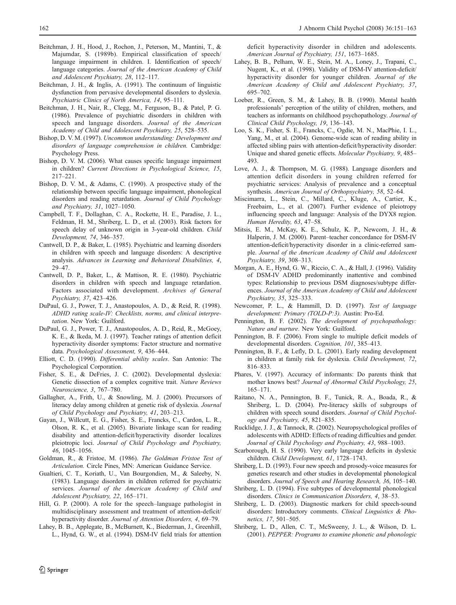- <span id="page-11-0"></span>Beitchman, J. H., Hood, J., Rochon, J., Peterson, M., Mantini, T., & Majumdar, S. (1989b). Empirical classification of speech/ language impairment in children. I. Identification of speech/ language categories. Journal of the American Academy of Child and Adolescent Psychiatry, 28, 112–117.
- Beitchman, J. H., & Inglis, A. (1991). The continuum of linguistic dysfunction from pervasive developmental disorders to dyslexia. Psychiatric Clinics of North America, 14, 95–111.
- Beitchman, J. H., Nair, R., Clegg, M., Ferguson, B., & Patel, P. G. (1986). Prevalence of psychiatric disorders in children with speech and language disorders. Journal of the American Academy of Child and Adolescent Psychiatry, 25, 528–535.
- Bishop, D. V. M. (1997). Uncommon understanding: Development and disorders of language comprehension in children. Cambridge: Psychology Press.
- Bishop, D. V. M. (2006). What causes specific language impairment in children? Current Directions in Psychological Science, 15, 217–221.
- Bishop, D. V. M., & Adams, C. (1990). A prospective study of the relationship between specific language impairment, phonological disorders and reading retardation. Journal of Child Psychology and Psychiatry, 31, 1027–1050.
- Campbell, T. F., Dollaghan, C. A., Rockette, H. E., Paradise, J. L., Feldman, H. M., Shriberg, L. D., et al. (2003). Risk factors for speech delay of unknown origin in 3-year-old children. Child Development, 74, 346–357.
- Cantwell, D. P., & Baker, L. (1985). Psychiatric and learning disorders in children with speech and language disorders: A descriptive analysis. Advances in Learning and Behavioral Disabilities, 4, 29–47.
- Cantwell, D. P., Baker, L., & Mattison, R. E. (1980). Psychiatric disorders in children with speech and language retardation. Factors associated with development. Archives of General Psychiatry, 37, 423–426.
- DuPaul, G. J., Power, T. J., Anastopoulos, A. D., & Reid, R. (1998). ADHD rating scale-IV: Checklists, norms, and clinical interpretation. New York: Guilford.
- DuPaul, G. J., Power, T. J., Anastopoulos, A. D., Reid, R., McGoey, K. E., & Ikeda, M. J. (1997). Teacher ratings of attention deficit hyperactivity disorder symptoms: Factor structure and normative data. Psychological Assessment, 9, 436–444.
- Elliott, C. D. (1990). Differential ability scales. San Antonio: The Psychological Corporation.
- Fisher, S. E., & DeFries, J. C. (2002). Developmental dyslexia: Genetic dissection of a complex cognitive trait. Nature Reviews Neuroscience, 3, 767–780.
- Gallagher, A., Frith, U., & Snowling, M. J. (2000). Precursors of literacy delay among children at genetic risk of dyslexia. Journal of Child Psychology and Psychiatry, 41, 203–213.
- Gayan, J., Willcutt, E. G., Fisher, S. E., Francks, C., Cardon, L. R., Olson, R. K., et al. (2005). Bivariate linkage scan for reading disability and attention-deficit/hyperactivity disorder localizes pleiotropic loci. Journal of Child Psychology and Psychiatry, 46, 1045–1056.
- Goldman, R., & Fristoe, M. (1986). The Goldman Fristoe Test of Articulation. Circle Pines, MN: American Guidance Service.
- Gualtieri, C. T., Koriath, U., Van Bourgondien, M., & Saleeby, N. (1983). Language disorders in children referred for psychiatric services. Journal of the American Academy of Child and Adolescent Psychiatry, 22, 165–171.
- Hill, G. P. (2000). A role for the speech–language pathologist in multidisciplinary assessment and treatment of attention-deficit/ hyperactivity disorder. Journal of Attention Disorders, 4, 69–79.
- Lahey, B. B., Applegate, B., McBurnett, K., Biederman, J., Greenhill, L., Hynd, G. W., et al. (1994). DSM-IV field trials for attention

deficit hyperactivity disorder in children and adolescents. American Journal of Psychiatry, 151, 1673–1685.

- Lahey, B. B., Pelham, W. E., Stein, M. A., Loney, J., Trapani, C., Nugent, K., et al. (1998). Validity of DSM-IV attention-deficit/ hyperactivity disorder for younger children. Journal of the American Academy of Child and Adolescent Psychiatry, 37, 695–702.
- Loeber, R., Green, S. M., & Lahey, B. B. (1990). Mental health professionals' perception of the utility of children, mothers, and teachers as informants on childhood psychopathology. Journal of Clinical Child Psychology, 19, 136–143.
- Loo, S. K., Fisher, S. E., Francks, C., Ogdie, M. N., MacPhie, I. L., Yang, M., et al. (2004). Genome-wide scan of reading ability in affected sibling pairs with attention-deficit/hyperactivity disorder: Unique and shared genetic effects. Molecular Psychiatry, 9, 485– 493.
- Love, A. J., & Thompson, M. G. (1988). Language disorders and attention deficit disorders in young children referred for psychiatric services: Analysis of prevalence and a conceptual synthesis. American Journal of Orthopsychiatry, 58, 52–64.
- Miscimarra, L., Stein, C., Millard, C., Kluge, A., Cartier, K., Freebairn, L., et al. (2007). Further evidence of pleiotropy influencing speech and language: Analysis of the DYX8 region. Human Heredity, 63, 47–58.
- Mitsis, E. M., McKay, K. E., Schulz, K. P., Newcorn, J. H., & Halperin, J. M. (2000). Parent–teacher concordance for DSM-IV attention-deficit/hyperactivity disorder in a clinic-referred sample. Journal of the American Academy of Child and Adolescent Psychiatry, 39, 308–313.
- Morgan, A. E., Hynd, G. W., Riccio, C. A., & Hall, J. (1996). Validity of DSM-IV ADHD predominantly inattentive and combined types: Relationship to previous DSM diagnoses/subtype differences. Journal of the American Academy of Child and Adolescent Psychiatry, 35, 325–333.
- Newcomer, P. L., & Hammill, D. D. (1997). Test of language development: Primary (TOLD-P:3). Austin: Pro-Ed.
- Pennington, B. F. (2002). The development of psychopathology: Nature and nurture. New York: Guilford.
- Pennington, B. F. (2006). From single to multiple deficit models of developmental disorders. Cognition, 101, 385–413.
- Pennington, B. F., & Lefly, D. L. (2001). Early reading development in children at family risk for dyslexia. Child Development, 72, 816–833.
- Phares, V. (1997). Accuracy of informants: Do parents think that mother knows best? Journal of Abnormal Child Psychology, 25, 165–171.
- Raitano, N. A., Pennington, B. F., Tunick, R. A., Boada, R., & Shriberg, L. D. (2004). Pre-literacy skills of subgroups of children with speech sound disorders. Journal of Child Psychology and Psychiatry, 45, 821–835.
- Rucklidge, J. J., & Tannock, R. (2002). Neuropsychological profiles of adolescents with ADHD: Effects of reading difficulties and gender. Journal of Child Psychology and Psychiatry, 43, 988–1003.
- Scarborough, H. S. (1990). Very early language deficits in dyslexic children. Child Development, 61, 1728–1743.
- Shriberg, L. D. (1993). Four new speech and prosody-voice measures for genetics research and other studies in developmental phonological disorders. Journal of Speech and Hearing Research, 36, 105–140.
- Shriberg, L. D. (1994). Five subtypes of developmental phonological disorders. Clinics in Communication Disorders, 4, 38–53.
- Shriberg, L. D. (2003). Diagnostic markers for child speech-sound disorders: Introductory comments. Clinical Linguistics & Phonetics, 17, 501–505.
- Shriberg, L. D., Allen, C. T., McSweeny, J. L., & Wilson, D. L. (2001). PEPPER: Programs to examine phonetic and phonologic